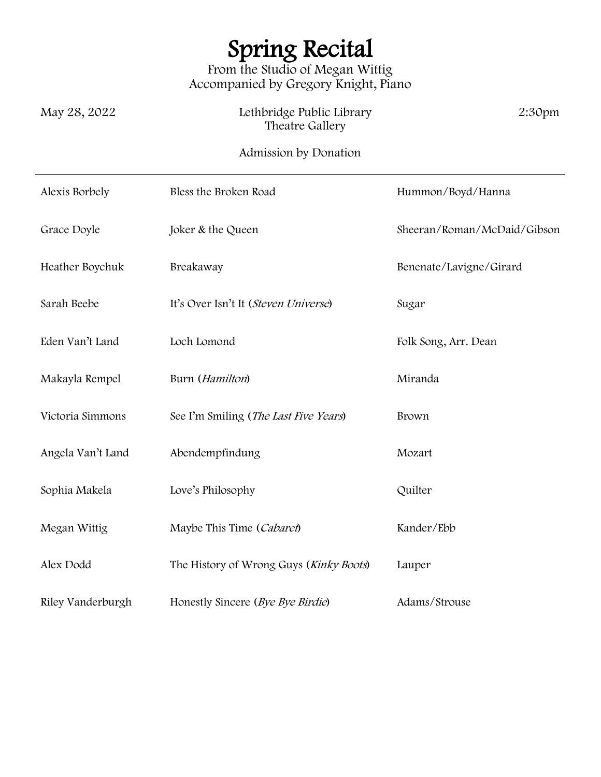## Spring Recital

From the Studio of Megan Wittig Accompanied by Gregory Knight, Piano

| May 28, 2022   | Lethbridge Public Library<br>Theatre Gallery | 2:30 <sub>pm</sub> |
|----------------|----------------------------------------------|--------------------|
|                | Admission by Donation                        |                    |
| Alexis Borbely | Bless the Broken Road                        | Hummon/Boyd/Hanna  |

| Grace Doyle       | Joker & the Queen                       | Sheeran/Roman/McDaid/Gibson |
|-------------------|-----------------------------------------|-----------------------------|
| Heather Boychuk   | Breakaway                               | Benenate/Lavigne/Girard     |
| Sarah Beebe       | It's Over Isn't It (Steven Universe)    | Sugar                       |
| Eden Van't Land   | Loch Lomond                             | Folk Song, Arr. Dean        |
| Makayla Rempel    | Burn (Hamilton)                         | Miranda                     |
| Victoria Simmons  | See I'm Smiling (The Last Five Years)   | Brown                       |
| Angela Van't Land | Abendempfindung                         | Mozart                      |
| Sophia Makela     | Love's Philosophy                       | Quilter                     |
| Megan Wittig      | Maybe This Time (Cabaret)               | Kander/Ebb                  |
| Alex Dodd         | The History of Wrong Guys (Kinky Boots) | Lauper                      |
| Riley Vanderburgh | Honestly Sincere (Bye Bye Birdie)       | Adams/Strouse               |